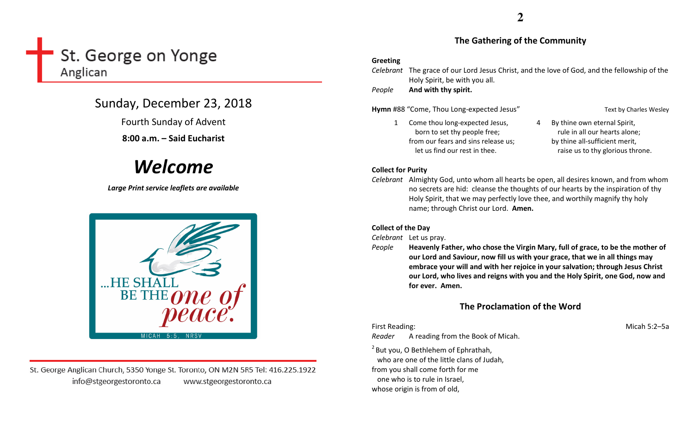## St. George on Yonge Anglican

## Sunday, December 23, 2018

Fourth Sunday of Advent

8:00 a.m. – Said Eucharist

# Welcome

Large Print service leaflets are available



St. George Anglican Church, 5350 Yonge St. Toronto, ON M2N 5R5 Tel: 416.225.1922 info@stgeorgestoronto.ca www.stgeorgestoronto.ca

#### The Gathering of the Community

#### Greeting

|        | <i>Celebrant</i> The grace of our Lord Jesus Christ, and the love of God, and the fellowship of the |
|--------|-----------------------------------------------------------------------------------------------------|
|        | Holy Spirit, be with you all.                                                                       |
| People | And with thy spirit.                                                                                |

Hymn #88 "Come, Thou Long-expected Jesus" Text by Charles Wesley

- 1 Come thou long-expected Jesus, born to set thy people free; from our fears and sins release us; let us find our rest in thee.
- 4 By thine own eternal Spirit, rule in all our hearts alone; by thine all-sufficient merit, raise us to thy glorious throne.

#### Collect for Purity

Celebrant Almighty God, unto whom all hearts be open, all desires known, and from whom no secrets are hid: cleanse the thoughts of our hearts by the inspiration of thy Holy Spirit, that we may perfectly love thee, and worthily magnify thy holy name; through Christ our Lord. Amen.

### Collect of the Day

Celebrant Let us pray.

People Heavenly Father, who chose the Virgin Mary, full of grace, to be the mother of our Lord and Saviour, now fill us with your grace, that we in all things may embrace your will and with her rejoice in your salvation; through Jesus Christ our Lord, who lives and reigns with you and the Holy Spirit, one God, now and for ever. Amen.

## The Proclamation of the Word

First Reading: Micah 5:2–5a Reader A reading from the Book of Micah.

 $<sup>2</sup>$  But you, O Bethlehem of Ephrathah,</sup> who are one of the little clans of Judah, from you shall come forth for me one who is to rule in Israel, whose origin is from of old,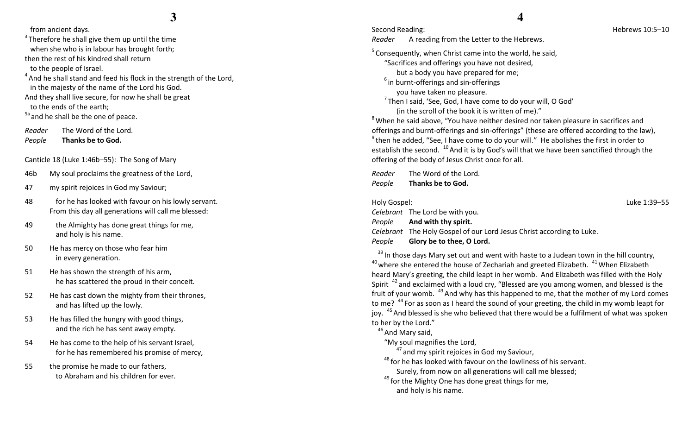from ancient days.

 $3$ Therefore he shall give them up until the time when she who is in labour has brought forth; then the rest of his kindred shall return to the people of Israel.

 $4$  And he shall stand and feed his flock in the strength of the Lord, in the majesty of the name of the Lord his God.

And they shall live secure, for now he shall be great to the ends of the earth;

<sup>5a</sup> and he shall be the one of peace.

Reader The Word of the Lord.

PeopleThanks be to God.

Canticle 18 (Luke 1:46b–55): The Song of Mary

- 46b My soul proclaims the greatness of the Lord,
- 47 my spirit rejoices in God my Saviour;
- 48 for he has looked with favour on his lowly servant. From this day all generations will call me blessed:
- 49 the Almighty has done great things for me, and holy is his name.
- 50 He has mercy on those who fear him in every generation.
- 51 He has shown the strength of his arm, he has scattered the proud in their conceit.
- 52 He has cast down the mighty from their thrones, and has lifted up the lowly.
- 53 He has filled the hungry with good things, and the rich he has sent away empty.
- 54 He has come to the help of his servant Israel, for he has remembered his promise of mercy,
- 55 the promise he made to our fathers, to Abraham and his children for ever.

## **4**

Reader A reading from the Letter to the Hebrews.

 $5$  Consequently, when Christ came into the world, he said,

"Sacrifices and offerings you have not desired,

but a body you have prepared for me;

 $6$  in burnt-offerings and sin-offerings

you have taken no pleasure.

 $^7$ Then I said, 'See, God, I have come to do your will, O God' (in the scroll of the book it is written of me)."

 $8$  When he said above, "You have neither desired nor taken pleasure in sacrifices and offerings and burnt-offerings and sin-offerings" (these are offered according to the law),  $9$ <sup>9</sup> then he added, "See, I have come to do your will." He abolishes the first in order to establish the second.  $^{10}$  And it is by God's will that we have been sanctified through the offering of the body of Jesus Christ once for all.

Reader The Word of the Lord. PeopleThanks be to God.

| Holy Gospel: |                                                                       | Luke 1:39-55 |
|--------------|-----------------------------------------------------------------------|--------------|
|              | Celebrant The Lord be with you.                                       |              |
|              | <i>People</i> And with thy spirit.                                    |              |
|              | Celebrant The Holy Gospel of our Lord Jesus Christ according to Luke. |              |
| People       | Glory be to thee, O Lord.                                             |              |

 $39$  In those days Mary set out and went with haste to a Judean town in the hill country,  $40$  where she entered the house of Zechariah and greeted Elizabeth.  $41$  When Elizabeth heard Mary's greeting, the child leapt in her womb. And Elizabeth was filled with the Holy Spirit  $42$  and exclaimed with a loud cry, "Blessed are you among women, and blessed is the fruit of your womb.  $43$  And why has this happened to me, that the mother of my Lord comes to me? <sup>44</sup> For as soon as I heard the sound of your greeting, the child in my womb leapt for joy. <sup>45</sup> And blessed is she who believed that there would be a fulfilment of what was spoken to her by the Lord."

 $46$  And Mary said,

"My soul magnifies the Lord,

 $^{47}$  and my spirit rejoices in God my Saviour,

 $^{48}$  for he has looked with favour on the lowliness of his servant.

Surely, from now on all generations will call me blessed;

 $49$  for the Mighty One has done great things for me,

and holy is his name.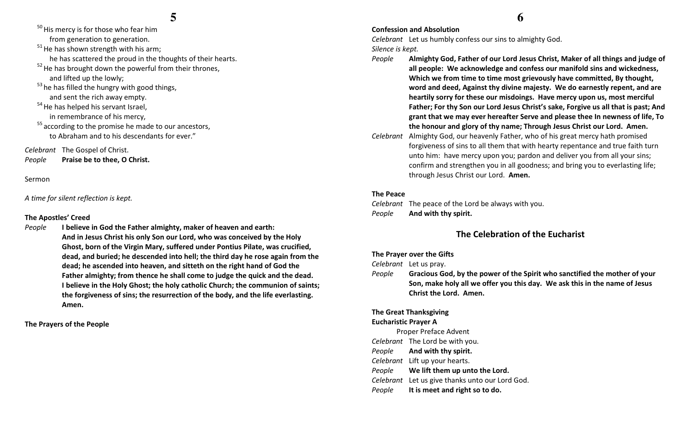$50$  His mercy is for those who fear him from generation to generation.  $51$  He has shown strength with his arm; he has scattered the proud in the thoughts of their hearts.  $52$  He has brought down the powerful from their thrones, and lifted up the lowly;  $53$  he has filled the hungry with good things, and sent the rich away empty. <sup>54</sup> He has helped his servant Israel, in remembrance of his mercy,  $55$  according to the promise he made to our ancestors, to Abraham and to his descendants for ever." Celebrant The Gospel of Christ.

PeoplePraise be to thee, O Christ.

Sermon

A time for silent reflection is kept.

#### The Apostles' Creed

People I believe in God the Father almighty, maker of heaven and earth: And in Jesus Christ his only Son our Lord, who was conceived by the Holy Ghost, born of the Virgin Mary, suffered under Pontius Pilate, was crucified, dead, and buried; he descended into hell; the third day he rose again from the dead; he ascended into heaven, and sitteth on the right hand of God the Father almighty; from thence he shall come to judge the quick and the dead. I believe in the Holy Ghost; the holy catholic Church; the communion of saints; the forgiveness of sins; the resurrection of the body, and the life everlasting. Amen.

The Prayers of the People

## **6**

#### Confession and Absolution

Celebrant Let us humbly confess our sins to almighty God. Silence is kept.

- People Almighty God, Father of our Lord Jesus Christ, Maker of all things and judge of all people: We acknowledge and confess our manifold sins and wickedness, Which we from time to time most grievously have committed, By thought, word and deed, Against thy divine majesty. We do earnestly repent, and are heartily sorry for these our misdoings. Have mercy upon us, most merciful Father; For thy Son our Lord Jesus Christ's sake, Forgive us all that is past; And grant that we may ever hereafter Serve and please thee In newness of life, To the honour and glory of thy name; Through Jesus Christ our Lord. Amen.
- Celebrant Almighty God, our heavenly Father, who of his great mercy hath promised forgiveness of sins to all them that with hearty repentance and true faith turn unto him: have mercy upon you; pardon and deliver you from all your sins; confirm and strengthen you in all goodness; and bring you to everlasting life; through Jesus Christ our Lord. Amen.

#### The Peace

Celebrant The peace of the Lord be always with you. PeopleAnd with thy spirit.

#### The Celebration of the Eucharist

#### The Prayer over the Gifts

Celebrant Let us pray.

People Gracious God, by the power of the Spirit who sanctified the mother of your Son, make holy all we offer you this day. We ask this in the name of Jesus Christ the Lord. Amen.

#### The Great Thanksgiving

#### Eucharistic Prayer A

Proper Preface Advent Celebrant The Lord be with you. People And with thy spirit. Celebrant Lift up your hearts. People We lift them up unto the Lord. Celebrant Let us give thanks unto our Lord God. PeopleIt is meet and right so to do.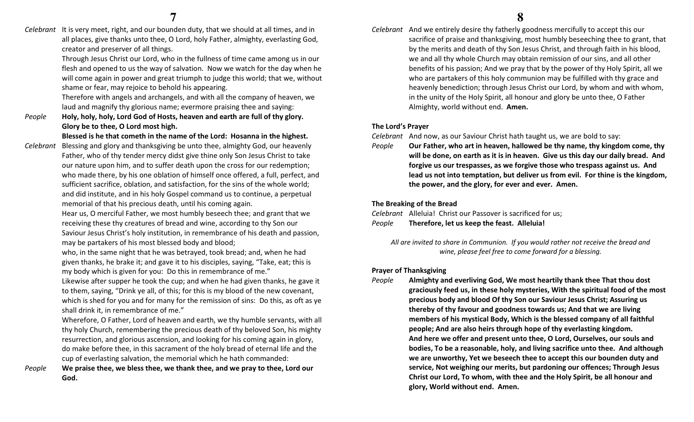Celebrant It is very meet, right, and our bounden duty, that we should at all times, and in all places, give thanks unto thee, O Lord, holy Father, almighty, everlasting God, creator and preserver of all things.

> Through Jesus Christ our Lord, who in the fullness of time came among us in our flesh and opened to us the way of salvation. Now we watch for the day when he will come again in power and great triumph to judge this world; that we, without shame or fear, may rejoice to behold his appearing.

Therefore with angels and archangels, and with all the company of heaven, we laud and magnify thy glorious name; evermore praising thee and saying:

People Holy, holy, holy, Lord God of Hosts, heaven and earth are full of thy glory. Glory be to thee, O Lord most high.

Blessed is he that cometh in the name of the Lord: Hosanna in the highest.

- Celebrant Blessing and glory and thanksgiving be unto thee, almighty God, our heavenly Father, who of thy tender mercy didst give thine only Son Jesus Christ to take our nature upon him, and to suffer death upon the cross for our redemption; who made there, by his one oblation of himself once offered, a full, perfect, and sufficient sacrifice, oblation, and satisfaction, for the sins of the whole world; and did institute, and in his holy Gospel command us to continue, a perpetual memorial of that his precious death, until his coming again.
	- Hear us, O merciful Father, we most humbly beseech thee; and grant that we receiving these thy creatures of bread and wine, according to thy Son our Saviour Jesus Christ's holy institution, in remembrance of his death and passion, may be partakers of his most blessed body and blood;
	- who, in the same night that he was betrayed, took bread; and, when he had given thanks, he brake it; and gave it to his disciples, saying, "Take, eat; this is my body which is given for you: Do this in remembrance of me."
	- Likewise after supper he took the cup; and when he had given thanks, he gave it to them, saying, "Drink ye all, of this; for this is my blood of the new covenant, which is shed for you and for many for the remission of sins: Do this, as oft as ye shall drink it, in remembrance of me."

Wherefore, O Father, Lord of heaven and earth, we thy humble servants, with all thy holy Church, remembering the precious death of thy beloved Son, his mighty resurrection, and glorious ascension, and looking for his coming again in glory, do make before thee, in this sacrament of the holy bread of eternal life and the cup of everlasting salvation, the memorial which he hath commanded:

We praise thee, we bless thee, we thank thee, and we pray to thee, Lord our God.

Celebrant And we entirely desire thy fatherly goodness mercifully to accept this our sacrifice of praise and thanksgiving, most humbly beseeching thee to grant, that by the merits and death of thy Son Jesus Christ, and through faith in his blood, we and all thy whole Church may obtain remission of our sins, and all other benefits of his passion; And we pray that by the power of thy Holy Spirit, all we who are partakers of this holy communion may be fulfilled with thy grace and heavenly benediction; through Jesus Christ our Lord, by whom and with whom, in the unity of the Holy Spirit, all honour and glory be unto thee, O Father Almighty, world without end. Amen.

#### The Lord's Prayer

Celebrant And now, as our Saviour Christ hath taught us, we are bold to say:

People Our Father, who art in heaven, hallowed be thy name, thy kingdom come, thy will be done, on earth as it is in heaven. Give us this day our daily bread. And forgive us our trespasses, as we forgive those who trespass against us. And lead us not into temptation, but deliver us from evil. For thine is the kingdom, the power, and the glory, for ever and ever. Amen.

#### The Breaking of the Bread

Celebrant Alleluia! Christ our Passover is sacrificed for us; PeopleTherefore, let us keep the feast. Alleluia!

All are invited to share in Communion. If you would rather not receive the bread and wine, please feel free to come forward for a blessing.

#### Prayer of Thanksgiving

People Almighty and everliving God, We most heartily thank thee That thou dost graciously feed us, in these holy mysteries, With the spiritual food of the most precious body and blood Of thy Son our Saviour Jesus Christ; Assuring us thereby of thy favour and goodness towards us; And that we are living members of his mystical Body, Which is the blessed company of all faithful people; And are also heirs through hope of thy everlasting kingdom. And here we offer and present unto thee, O Lord, Ourselves, our souls and bodies, To be a reasonable, holy, and living sacrifice unto thee. And although we are unworthy, Yet we beseech thee to accept this our bounden duty and service, Not weighing our merits, but pardoning our offences; Through Jesus Christ our Lord, To whom, with thee and the Holy Spirit, be all honour and glory, World without end. Amen.

People